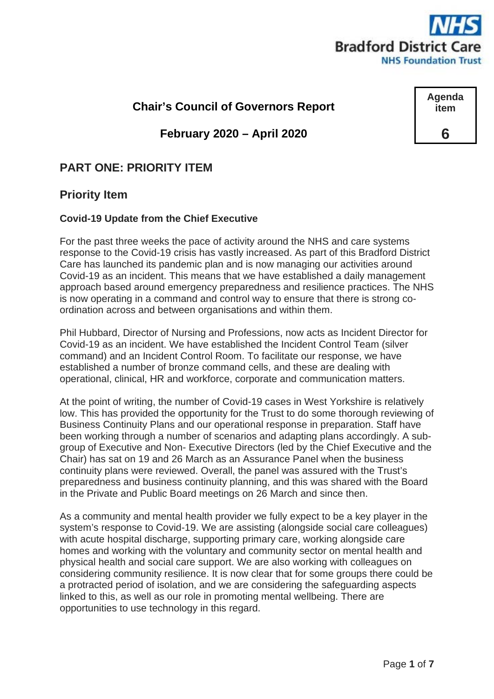

**Agenda item**

**6**

## **Chair's Council of Governors Report**

**February 2020 – April 2020**

# **PART ONE: PRIORITY ITEM**

### **Priority Item**

#### **Covid-19 Update from the Chief Executive**

For the past three weeks the pace of activity around the NHS and care systems response to the Covid-19 crisis has vastly increased. As part of this Bradford District Care has launched its pandemic plan and is now managing our activities around Covid-19 as an incident. This means that we have established a daily management approach based around emergency preparedness and resilience practices. The NHS is now operating in a command and control way to ensure that there is strong coordination across and between organisations and within them.

Phil Hubbard, Director of Nursing and Professions, now acts as Incident Director for Covid-19 as an incident. We have established the Incident Control Team (silver command) and an Incident Control Room. To facilitate our response, we have established a number of bronze command cells, and these are dealing with operational, clinical, HR and workforce, corporate and communication matters.

At the point of writing, the number of Covid-19 cases in West Yorkshire is relatively low. This has provided the opportunity for the Trust to do some thorough reviewing of Business Continuity Plans and our operational response in preparation. Staff have been working through a number of scenarios and adapting plans accordingly. A subgroup of Executive and Non- Executive Directors (led by the Chief Executive and the Chair) has sat on 19 and 26 March as an Assurance Panel when the business continuity plans were reviewed. Overall, the panel was assured with the Trust's preparedness and business continuity planning, and this was shared with the Board in the Private and Public Board meetings on 26 March and since then.

As a community and mental health provider we fully expect to be a key player in the system's response to Covid-19. We are assisting (alongside social care colleagues) with acute hospital discharge, supporting primary care, working alongside care homes and working with the voluntary and community sector on mental health and physical health and social care support. We are also working with colleagues on considering community resilience. It is now clear that for some groups there could be a protracted period of isolation, and we are considering the safeguarding aspects linked to this, as well as our role in promoting mental wellbeing. There are opportunities to use technology in this regard.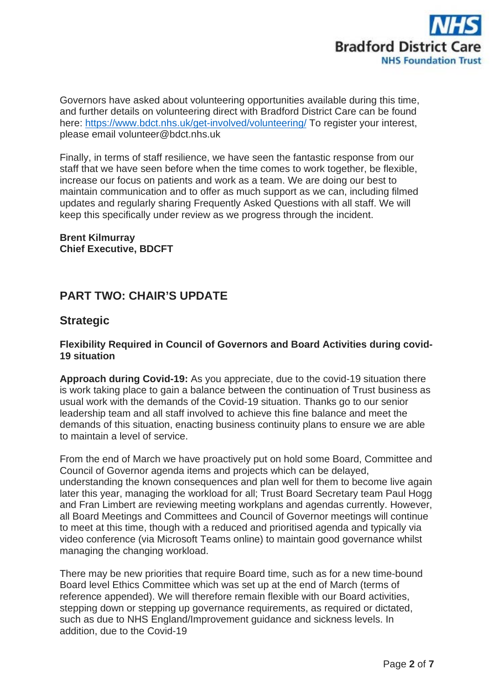

Governors have asked about volunteering opportunities available during this time, and further details on volunteering direct with Bradford District Care can be found here:<https://www.bdct.nhs.uk/get-involved/volunteering/> To register your interest, please email volunteer@bdct.nhs.uk

Finally, in terms of staff resilience, we have seen the fantastic response from our staff that we have seen before when the time comes to work together, be flexible, increase our focus on patients and work as a team. We are doing our best to maintain communication and to offer as much support as we can, including filmed updates and regularly sharing Frequently Asked Questions with all staff. We will keep this specifically under review as we progress through the incident.

**Brent Kilmurray Chief Executive, BDCFT**

# **PART TWO: CHAIR'S UPDATE**

### **Strategic**

#### **Flexibility Required in Council of Governors and Board Activities during covid-19 situation**

**Approach during Covid-19:** As you appreciate, due to the covid-19 situation there is work taking place to gain a balance between the continuation of Trust business as usual work with the demands of the Covid-19 situation. Thanks go to our senior leadership team and all staff involved to achieve this fine balance and meet the demands of this situation, enacting business continuity plans to ensure we are able to maintain a level of service.

From the end of March we have proactively put on hold some Board, Committee and Council of Governor agenda items and projects which can be delayed, understanding the known consequences and plan well for them to become live again later this year, managing the workload for all; Trust Board Secretary team Paul Hogg and Fran Limbert are reviewing meeting workplans and agendas currently. However, all Board Meetings and Committees and Council of Governor meetings will continue to meet at this time, though with a reduced and prioritised agenda and typically via video conference (via Microsoft Teams online) to maintain good governance whilst managing the changing workload.

There may be new priorities that require Board time, such as for a new time-bound Board level Ethics Committee which was set up at the end of March (terms of reference appended). We will therefore remain flexible with our Board activities, stepping down or stepping up governance requirements, as required or dictated, such as due to NHS England/Improvement guidance and sickness levels. In addition, due to the Covid-19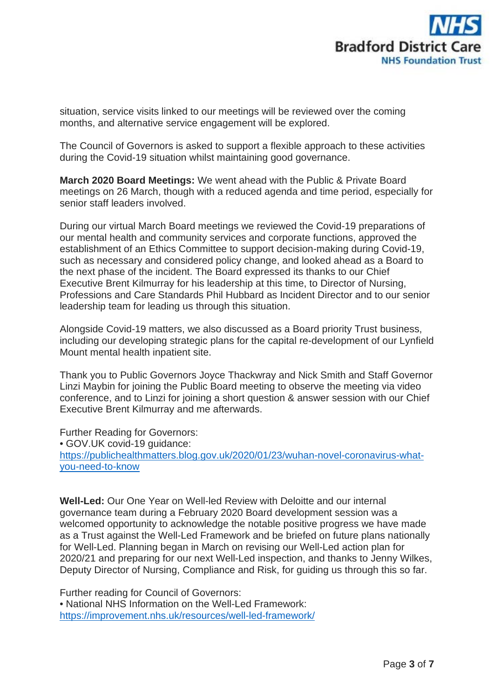

situation, service visits linked to our meetings will be reviewed over the coming months, and alternative service engagement will be explored.

The Council of Governors is asked to support a flexible approach to these activities during the Covid-19 situation whilst maintaining good governance.

**March 2020 Board Meetings:** We went ahead with the Public & Private Board meetings on 26 March, though with a reduced agenda and time period, especially for senior staff leaders involved.

During our virtual March Board meetings we reviewed the Covid-19 preparations of our mental health and community services and corporate functions, approved the establishment of an Ethics Committee to support decision-making during Covid-19, such as necessary and considered policy change, and looked ahead as a Board to the next phase of the incident. The Board expressed its thanks to our Chief Executive Brent Kilmurray for his leadership at this time, to Director of Nursing, Professions and Care Standards Phil Hubbard as Incident Director and to our senior leadership team for leading us through this situation.

Alongside Covid-19 matters, we also discussed as a Board priority Trust business, including our developing strategic plans for the capital re-development of our Lynfield Mount mental health inpatient site.

Thank you to Public Governors Joyce Thackwray and Nick Smith and Staff Governor Linzi Maybin for joining the Public Board meeting to observe the meeting via video conference, and to Linzi for joining a short question & answer session with our Chief Executive Brent Kilmurray and me afterwards.

Further Reading for Governors:

• GOV.UK covid-19 guidance: [https://publichealthmatters.blog.gov.uk/2020/01/23/wuhan-novel-coronavirus-what](https://publichealthmatters.blog.gov.uk/2020/01/23/wuhan-novel-coronavirus-what-you-need-to-know)[you-need-to-know](https://publichealthmatters.blog.gov.uk/2020/01/23/wuhan-novel-coronavirus-what-you-need-to-know)

**Well-Led:** Our One Year on Well-led Review with Deloitte and our internal governance team during a February 2020 Board development session was a welcomed opportunity to acknowledge the notable positive progress we have made as a Trust against the Well-Led Framework and be briefed on future plans nationally for Well-Led. Planning began in March on revising our Well-Led action plan for 2020/21 and preparing for our next Well-Led inspection, and thanks to Jenny Wilkes, Deputy Director of Nursing, Compliance and Risk, for guiding us through this so far.

Further reading for Council of Governors: • National NHS Information on the Well-Led Framework: <https://improvement.nhs.uk/resources/well-led-framework/>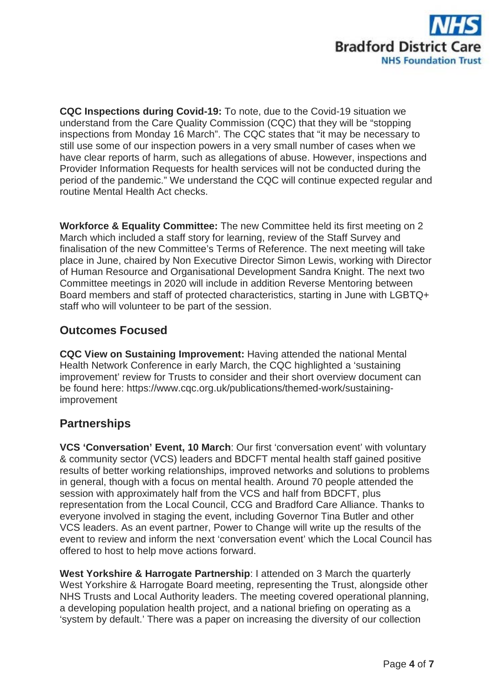

**CQC Inspections during Covid-19:** To note, due to the Covid-19 situation we understand from the Care Quality Commission (CQC) that they will be "stopping inspections from Monday 16 March". The CQC states that "it may be necessary to still use some of our inspection powers in a very small number of cases when we have clear reports of harm, such as allegations of abuse. However, inspections and Provider Information Requests for health services will not be conducted during the period of the pandemic." We understand the CQC will continue expected regular and routine Mental Health Act checks.

**Workforce & Equality Committee:** The new Committee held its first meeting on 2 March which included a staff story for learning, review of the Staff Survey and finalisation of the new Committee's Terms of Reference. The next meeting will take place in June, chaired by Non Executive Director Simon Lewis, working with Director of Human Resource and Organisational Development Sandra Knight. The next two Committee meetings in 2020 will include in addition Reverse Mentoring between Board members and staff of protected characteristics, starting in June with LGBTQ+ staff who will volunteer to be part of the session.

# **Outcomes Focused**

**CQC View on Sustaining Improvement:** Having attended the national Mental Health Network Conference in early March, the CQC highlighted a 'sustaining improvement' review for Trusts to consider and their short overview document can be found here: https://www.cqc.org.uk/publications/themed-work/sustainingimprovement

# **Partnerships**

**VCS 'Conversation' Event, 10 March**: Our first 'conversation event' with voluntary & community sector (VCS) leaders and BDCFT mental health staff gained positive results of better working relationships, improved networks and solutions to problems in general, though with a focus on mental health. Around 70 people attended the session with approximately half from the VCS and half from BDCFT, plus representation from the Local Council, CCG and Bradford Care Alliance. Thanks to everyone involved in staging the event, including Governor Tina Butler and other VCS leaders. As an event partner, Power to Change will write up the results of the event to review and inform the next 'conversation event' which the Local Council has offered to host to help move actions forward.

**West Yorkshire & Harrogate Partnership**: I attended on 3 March the quarterly West Yorkshire & Harrogate Board meeting, representing the Trust, alongside other NHS Trusts and Local Authority leaders. The meeting covered operational planning, a developing population health project, and a national briefing on operating as a 'system by default.' There was a paper on increasing the diversity of our collection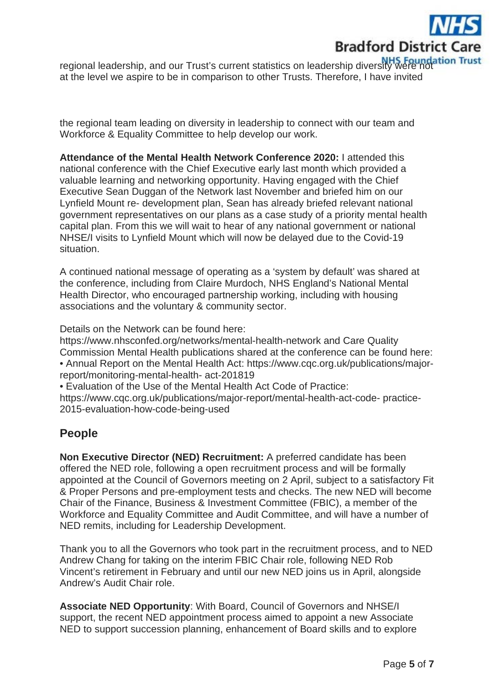

regional leadership, and our Trust's current statistics on leadership diversity were not at the level we aspire to be in comparison to other Trusts. Therefore, I have invited

the regional team leading on diversity in leadership to connect with our team and Workforce & Equality Committee to help develop our work.

**Attendance of the Mental Health Network Conference 2020:** I attended this national conference with the Chief Executive early last month which provided a valuable learning and networking opportunity. Having engaged with the Chief Executive Sean Duggan of the Network last November and briefed him on our Lynfield Mount re- development plan, Sean has already briefed relevant national government representatives on our plans as a case study of a priority mental health capital plan. From this we will wait to hear of any national government or national NHSE/I visits to Lynfield Mount which will now be delayed due to the Covid-19 situation.

A continued national message of operating as a 'system by default' was shared at the conference, including from Claire Murdoch, NHS England's National Mental Health Director, who encouraged partnership working, including with housing associations and the voluntary & community sector.

Details on the Network can be found here:

https://www.nhsconfed.org/networks/mental-health-network and Care Quality Commission Mental Health publications shared at the conference can be found here: • Annual Report on the Mental Health Act: https://www.cqc.org.uk/publications/majorreport/monitoring-mental-health- act-201819

• Evaluation of the Use of the Mental Health Act Code of Practice:

https://www.cqc.org.uk/publications/major-report/mental-health-act-code- practice-2015-evaluation-how-code-being-used

### **People**

**Non Executive Director (NED) Recruitment:** A preferred candidate has been offered the NED role, following a open recruitment process and will be formally appointed at the Council of Governors meeting on 2 April, subject to a satisfactory Fit & Proper Persons and pre-employment tests and checks. The new NED will become Chair of the Finance, Business & Investment Committee (FBIC), a member of the Workforce and Equality Committee and Audit Committee, and will have a number of NED remits, including for Leadership Development.

Thank you to all the Governors who took part in the recruitment process, and to NED Andrew Chang for taking on the interim FBIC Chair role, following NED Rob Vincent's retirement in February and until our new NED joins us in April, alongside Andrew's Audit Chair role.

**Associate NED Opportunity**: With Board, Council of Governors and NHSE/I support, the recent NED appointment process aimed to appoint a new Associate NED to support succession planning, enhancement of Board skills and to explore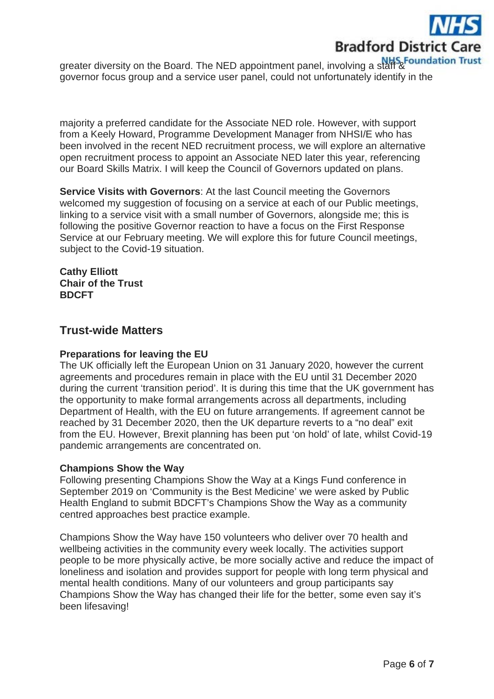

greater diversity on the Board. The NED appointment panel, involving a staff & Foundation Trust governor focus group and a service user panel, could not unfortunately identify in the

majority a preferred candidate for the Associate NED role. However, with support from a Keely Howard, Programme Development Manager from NHSI/E who has been involved in the recent NED recruitment process, we will explore an alternative open recruitment process to appoint an Associate NED later this year, referencing our Board Skills Matrix. I will keep the Council of Governors updated on plans.

**Service Visits with Governors**: At the last Council meeting the Governors welcomed my suggestion of focusing on a service at each of our Public meetings, linking to a service visit with a small number of Governors, alongside me; this is following the positive Governor reaction to have a focus on the First Response Service at our February meeting. We will explore this for future Council meetings, subject to the Covid-19 situation.

**Cathy Elliott Chair of the Trust BDCFT**

#### **Trust-wide Matters**

#### **Preparations for leaving the EU**

The UK officially left the European Union on 31 January 2020, however the current agreements and procedures remain in place with the EU until 31 December 2020 during the current 'transition period'. It is during this time that the UK government has the opportunity to make formal arrangements across all departments, including Department of Health, with the EU on future arrangements. If agreement cannot be reached by 31 December 2020, then the UK departure reverts to a "no deal" exit from the EU. However, Brexit planning has been put 'on hold' of late, whilst Covid-19 pandemic arrangements are concentrated on.

#### **Champions Show the Way**

Following presenting Champions Show the Way at a Kings Fund conference in September 2019 on 'Community is the Best Medicine' we were asked by Public Health England to submit BDCFT's Champions Show the Way as a community centred approaches best practice example.

Champions Show the Way have 150 volunteers who deliver over 70 health and wellbeing activities in the community every week locally. The activities support people to be more physically active, be more socially active and reduce the impact of loneliness and isolation and provides support for people with long term physical and mental health conditions. Many of our volunteers and group participants say Champions Show the Way has changed their life for the better, some even say it's been lifesaving!